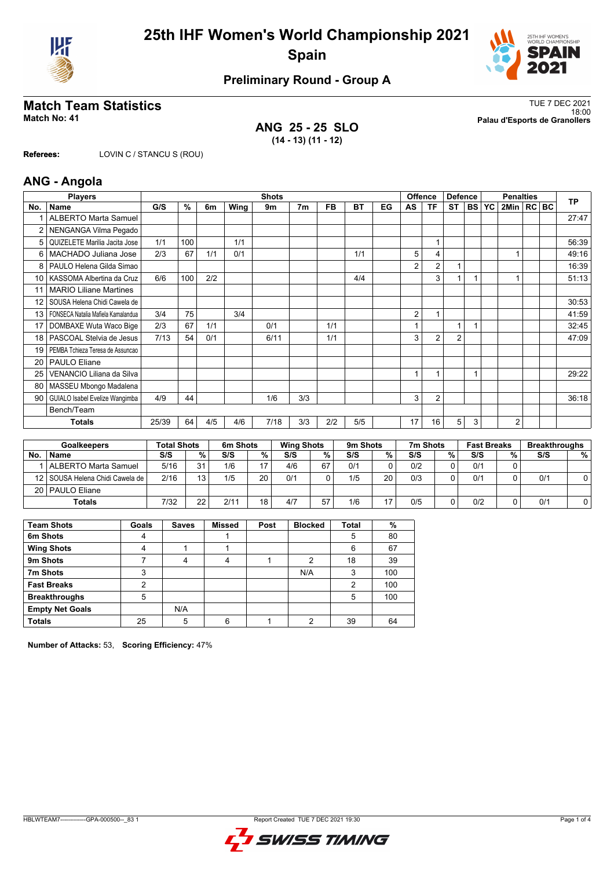



## **Preliminary Round - Group A**

### **ANG 25 - 25 SLO (14 - 13) (11 - 12)**

**Match Team Statistics** TUE 7 DEC 2021 18:00 **Match No: 41 Palau d'Esports de Granollers**

**Referees:** LOVIN C / STANCU S (ROU)

### **ANG - Angola**

|                 | <b>Players</b>                     |       |     |     |      | <b>Shots</b> |                |     |     |    |    | <b>Offence</b> | <b>Defence</b> |        |           | <b>Penalties</b> |  | <b>TP</b> |
|-----------------|------------------------------------|-------|-----|-----|------|--------------|----------------|-----|-----|----|----|----------------|----------------|--------|-----------|------------------|--|-----------|
| No.             | <b>Name</b>                        | G/S   | %   | 6m  | Wing | 9m           | 7 <sub>m</sub> | FB  | BT  | EG | AS | TF             | <b>ST</b>      | I BS I | <b>YC</b> | 2Min   RC BC     |  |           |
|                 | <b>ALBERTO Marta Samuel</b>        |       |     |     |      |              |                |     |     |    |    |                |                |        |           |                  |  | 27:47     |
| 2               | NENGANGA Vilma Pegado              |       |     |     |      |              |                |     |     |    |    |                |                |        |           |                  |  |           |
| 5               | QUIZELETE Marilia Jacita Jose      | 1/1   | 100 |     | 1/1  |              |                |     |     |    |    | 1              |                |        |           |                  |  | 56:39     |
| 6               | MACHADO Juliana Jose               | 2/3   | 67  | 1/1 | 0/1  |              |                |     | 1/1 |    | 5  | 4              |                |        |           |                  |  | 49:16     |
| 8               | PAULO Helena Gilda Simao           |       |     |     |      |              |                |     |     |    | 2  | 2              |                |        |           |                  |  | 16:39     |
| 10 <sup>1</sup> | KASSOMA Albertina da Cruz          | 6/6   | 100 | 2/2 |      |              |                |     | 4/4 |    |    | 3              |                |        |           |                  |  | 51:13     |
| 11              | <b>MARIO Liliane Martines</b>      |       |     |     |      |              |                |     |     |    |    |                |                |        |           |                  |  |           |
| 12              | SOUSA Helena Chidi Cawela de       |       |     |     |      |              |                |     |     |    |    |                |                |        |           |                  |  | 30:53     |
| 13              | FONSECA Natalia Mafiela Kamalandua | 3/4   | 75  |     | 3/4  |              |                |     |     |    | 2  | $\overline{1}$ |                |        |           |                  |  | 41:59     |
| 17              | DOMBAXE Wuta Waco Bige             | 2/3   | 67  | 1/1 |      | 0/1          |                | 1/1 |     |    |    |                | 1              |        |           |                  |  | 32:45     |
| 18              | PASCOAL Stelvia de Jesus           | 7/13  | 54  | 0/1 |      | 6/11         |                | 1/1 |     |    | 3  | 2              | $\overline{2}$ |        |           |                  |  | 47:09     |
| 19              | PEMBA Tchieza Teresa de Assuncao   |       |     |     |      |              |                |     |     |    |    |                |                |        |           |                  |  |           |
| 20              | <b>PAULO Eliane</b>                |       |     |     |      |              |                |     |     |    |    |                |                |        |           |                  |  |           |
| 25              | VENANCIO Liliana da Silva          |       |     |     |      |              |                |     |     |    |    | 1              |                | 1      |           |                  |  | 29:22     |
| 80              | MASSEU Mbongo Madalena             |       |     |     |      |              |                |     |     |    |    |                |                |        |           |                  |  |           |
| 90              | GUIALO Isabel Evelize Wangimba     | 4/9   | 44  |     |      | 1/6          | 3/3            |     |     |    | 3  | 2              |                |        |           |                  |  | 36:18     |
|                 | Bench/Team                         |       |     |     |      |              |                |     |     |    |    |                |                |        |           |                  |  |           |
|                 | <b>Totals</b>                      | 25/39 | 64  | 4/5 | 4/6  | 7/18         | 3/3            | 2/2 | 5/5 |    | 17 | 16             | 5              | 3      |           | $\overline{2}$   |  |           |

| <b>Goalkeepers</b> |                                   | Total Shots |     | 6m Shots |    | <b>Wing Shots</b> |    | 9 <sub>m</sub> Shots |    | 7m Shots |   | <b>Fast Breaks</b> |   | <b>Breakthroughs</b> |   |
|--------------------|-----------------------------------|-------------|-----|----------|----|-------------------|----|----------------------|----|----------|---|--------------------|---|----------------------|---|
| No.                | <b>Name</b>                       | S/S         | %   | S/S      | %  | S/S               | %  | S/S                  | %  | S/S      | % | S/S                | % | S/S                  | % |
|                    | ALBERTO Marta Samuel              | 5/16        | 31  | 1/6      | 47 | 4/6               | 67 | 0/1                  | 0  | 0/2      |   | 0/1                |   |                      |   |
|                    | 12   SOUSA Helena Chidi Cawela de | 2/16        | 13. | 1/5      | 20 | 0/1               |    | 1/5                  | 20 | 0/3      | ∩ | 0/1                |   | 0/1                  |   |
|                    | 20   PAULO Eliane                 |             |     |          |    |                   |    |                      |    |          |   |                    |   |                      |   |
|                    | Totals                            | 7/32        | 22  | 2/11     | 18 | 4/7               | 57 | 1/6                  | 17 | 0/5      | ∩ | 0/2                |   | 0/1                  |   |

| <b>Team Shots</b>      | Goals | <b>Saves</b> | <b>Missed</b> | Post | <b>Blocked</b> | <b>Total</b> | %   |
|------------------------|-------|--------------|---------------|------|----------------|--------------|-----|
| 6m Shots               | 4     |              |               |      |                | 5            | 80  |
| <b>Wing Shots</b>      | 4     |              |               |      |                | 6            | 67  |
| 9m Shots               |       | 4            | 4             |      | 2              | 18           | 39  |
| 7m Shots               | 3     |              |               |      | N/A            | 3            | 100 |
| <b>Fast Breaks</b>     | າ     |              |               |      |                | 2            | 100 |
| <b>Breakthroughs</b>   | 5     |              |               |      |                | 5            | 100 |
| <b>Empty Net Goals</b> |       | N/A          |               |      |                |              |     |
| <b>Totals</b>          | 25    | 5            | 6             |      | っ              | 39           | 64  |

**Number of Attacks:** 53, **Scoring Efficiency:** 47%

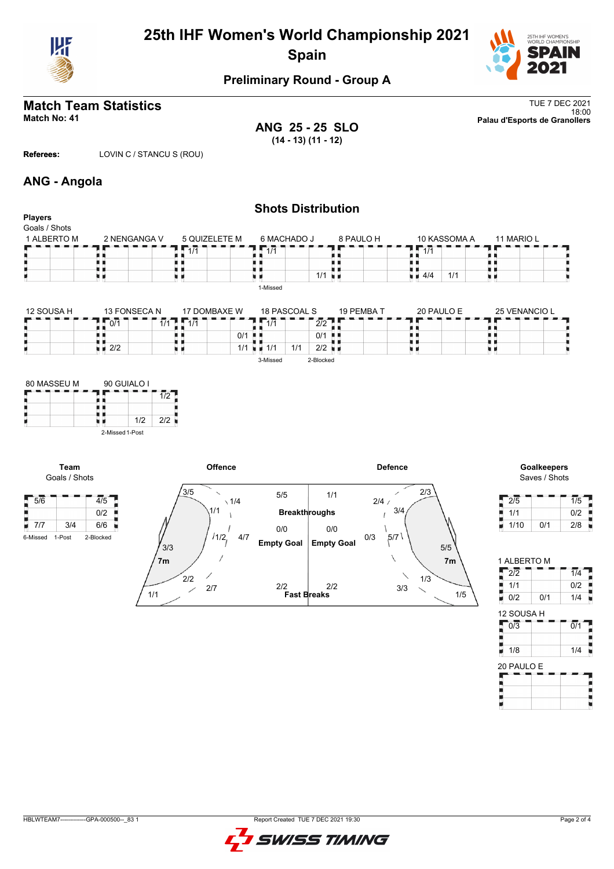

# **25th IHF Women's World Championship 2021 Spain**



## **Preliminary Round - Group A**

**ANG 25 - 25 SLO (14 - 13) (11 - 12)**

**Match Team Statistics** TUE 7 DEC 2021 18:00 **Match No: 41 Palau d'Esports de Granollers**

**Referees:** LOVIN C / STANCU S (ROU)

## **ANG - Angola**

| <b>Players</b> |                                   |                                     |                                  | <b>Shots Distribution</b>   |                           |               |
|----------------|-----------------------------------|-------------------------------------|----------------------------------|-----------------------------|---------------------------|---------------|
| Goals / Shots  |                                   |                                     |                                  |                             |                           |               |
| 1 ALBERTO M    | 2 NENGANGA V                      | 5 QUIZELETE M                       | 6 MACHADO J                      | 8 PAULO H                   | 10 KASSOMA A              | 11 MARIO L    |
|                |                                   | $\overline{11/1}$                   | $\overline{11/1}$                |                             | $\sqrt{1/1}$              |               |
|                |                                   |                                     |                                  |                             |                           |               |
|                | υи                                | нπ                                  |                                  | 1/1<br>u p                  | $\blacksquare$ 4/4<br>1/1 | u d           |
|                |                                   |                                     | 1-Missed                         |                             |                           |               |
| 12 SOUSA H     | 13 FONSECA N<br>$\overline{0/1}$  | 17 DOMBAXE W<br>$\sqrt{1/1}$<br>1/1 | 18 PASCOAL S<br>$\overline{1/1}$ | 19 PEMBA T<br>2/2           | 20 PAULO E                | 25 VENANCIO L |
|                |                                   |                                     | 0/1                              | 0/1<br>н н                  |                           |               |
|                | $\blacksquare$ $\blacksquare$ 2/2 | U U                                 | $1/1$ $\equiv$ 1/1               | $2/2$ $\blacksquare$<br>1/1 |                           | . .           |
|                |                                   |                                     | 3-Missed                         | 2-Blocked                   |                           |               |
|                |                                   |                                     |                                  |                             |                           |               |
| 80 MASSEU M    | 90 GUIALO I                       |                                     |                                  |                             |                           |               |
|                |                                   | 1/2                                 |                                  |                             |                           |               |
|                |                                   |                                     |                                  |                             |                           |               |
|                | 1/2<br>uи                         | 2/2                                 |                                  |                             |                           |               |

2-Missed 1-Post



# Saves / Shots

| 2/5  |     | 1/5 |
|------|-----|-----|
| 1/1  |     | 0/2 |
| 1/10 | 0/1 | 2/8 |

1 ALBERTO M  $\frac{1}{2}$  2/2 1/4

| 1/1              |     | 0/2              |
|------------------|-----|------------------|
| 0/2              | 0/1 | 1/4              |
| 12 SOUSA H       |     |                  |
| $\overline{0/3}$ |     | $\overline{0/1}$ |
|                  |     |                  |
| 1/8              |     | 1/4              |
| 20 PAULO E       |     |                  |
|                  |     |                  |
|                  |     |                  |

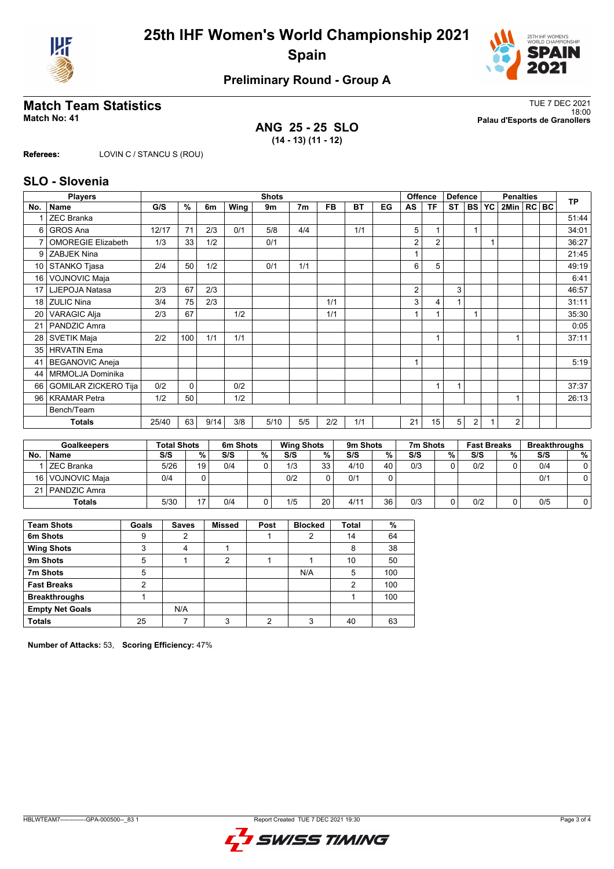



## **Preliminary Round - Group A**

**ANG 25 - 25 SLO (14 - 13) (11 - 12)**

**Match Team Statistics** TUE 7 DEC 2021 18:00 **Match No: 41 Palau d'Esports de Granollers**

**Referees:** LOVIN C / STANCU S (ROU)

### **SLO - Slovenia**

|     | <b>Players</b>              |       |      |      |      | <b>Shots</b> |                |           |           |    |                | <b>Offence</b> | <b>Defence</b> |           |           | <b>Penalties</b> |  | <b>TP</b> |
|-----|-----------------------------|-------|------|------|------|--------------|----------------|-----------|-----------|----|----------------|----------------|----------------|-----------|-----------|------------------|--|-----------|
| No. | Name                        | G/S   | $\%$ | 6m   | Wing | 9m           | 7 <sub>m</sub> | <b>FB</b> | <b>BT</b> | EG | AS             | <b>TF</b>      | <b>ST</b>      | <b>BS</b> | <b>YC</b> | 2Min   RC   BC   |  |           |
|     | <b>ZEC Branka</b>           |       |      |      |      |              |                |           |           |    |                |                |                |           |           |                  |  | 51:44     |
| 6   | <b>GROS Ana</b>             | 12/17 | 71   | 2/3  | 0/1  | 5/8          | 4/4            |           | 1/1       |    | 5              |                |                |           |           |                  |  | 34:01     |
| 7   | <b>OMOREGIE Elizabeth</b>   | 1/3   | 33   | 1/2  |      | 0/1          |                |           |           |    | 2              | $\overline{2}$ |                |           |           |                  |  | 36:27     |
| 9   | ZABJEK Nina                 |       |      |      |      |              |                |           |           |    |                |                |                |           |           |                  |  | 21:45     |
| 10  | STANKO Tjasa                | 2/4   | 50   | 1/2  |      | 0/1          | 1/1            |           |           |    | 6              | 5              |                |           |           |                  |  | 49:19     |
| 16  | <b>VOJNOVIC Maja</b>        |       |      |      |      |              |                |           |           |    |                |                |                |           |           |                  |  | 6:41      |
| 17  | LJEPOJA Natasa              | 2/3   | 67   | 2/3  |      |              |                |           |           |    | $\overline{2}$ |                | 3              |           |           |                  |  | 46:57     |
| 18  | <b>ZULIC Nina</b>           | 3/4   | 75   | 2/3  |      |              |                | 1/1       |           |    | 3              | 4              |                |           |           |                  |  | 31:11     |
| 20  | <b>VARAGIC Alja</b>         | 2/3   | 67   |      | 1/2  |              |                | 1/1       |           |    |                |                |                |           |           |                  |  | 35:30     |
| 21  | PANDZIC Amra                |       |      |      |      |              |                |           |           |    |                |                |                |           |           |                  |  | 0:05      |
| 28  | SVETIK Maja                 | 2/2   | 100  | 1/1  | 1/1  |              |                |           |           |    |                | 1              |                |           |           |                  |  | 37:11     |
| 35  | <b>HRVATIN Ema</b>          |       |      |      |      |              |                |           |           |    |                |                |                |           |           |                  |  |           |
| 41  | <b>BEGANOVIC Aneja</b>      |       |      |      |      |              |                |           |           |    |                |                |                |           |           |                  |  | 5:19      |
| 44  | MRMOLJA Dominika            |       |      |      |      |              |                |           |           |    |                |                |                |           |           |                  |  |           |
| 66  | <b>GOMILAR ZICKERO Tija</b> | 0/2   | 0    |      | 0/2  |              |                |           |           |    |                | 1              | 1              |           |           |                  |  | 37:37     |
| 96  | <b>KRAMAR Petra</b>         | 1/2   | 50   |      | 1/2  |              |                |           |           |    |                |                |                |           |           |                  |  | 26:13     |
|     | Bench/Team                  |       |      |      |      |              |                |           |           |    |                |                |                |           |           |                  |  |           |
|     | <b>Totals</b>               | 25/40 | 63   | 9/14 | 3/8  | 5/10         | 5/5            | 2/2       | 1/1       |    | 21             | 15             | 5              | 2         |           | $\overline{2}$   |  |           |

| <b>Goalkeepers</b> |                   | <b>Total Shots</b> |    | 6m Shots |   | <b>Wing Shots</b> |    | 9 <sub>m</sub> Shots |    | 7m Shots |          | <b>Fast Breaks</b> |   | <b>Breakthroughs</b> |   |
|--------------------|-------------------|--------------------|----|----------|---|-------------------|----|----------------------|----|----------|----------|--------------------|---|----------------------|---|
| No                 | <b>Name</b>       | S/S                | %. | S/S      | % | S/S               | %  | S/S                  | %  | S/S      | %        | S/S                | % | S/S                  | % |
|                    | ZEC Branka        | 5/26               | 19 | 0/4      |   | 1/3               | 33 | 4/10                 | 40 | 0/3      | $\Omega$ | 0/2                |   | 0/4                  |   |
| 16 I               | l VOJNOVIC Maia   | 0/4                |    |          |   | 0/2               |    | 0/1                  | 0  |          |          |                    |   | 0/1                  |   |
|                    | 21   PANDZIC Amra |                    |    |          |   |                   |    |                      |    |          |          |                    |   |                      |   |
|                    | <b>Totals</b>     | 5/30               | 17 | 0/4      |   | 1/5               | 20 | 4/11                 | 36 | 0/3      | 0        | 0/2                |   | 0/5                  |   |

| <b>Team Shots</b>      | Goals | <b>Saves</b> | <b>Missed</b>  | Post | <b>Blocked</b> | <b>Total</b> | %   |
|------------------------|-------|--------------|----------------|------|----------------|--------------|-----|
| 6m Shots               | 9     | 2            |                |      | 2              | 14           | 64  |
| <b>Wing Shots</b>      | 3     | 4            |                |      |                | 8            | 38  |
| 9m Shots               | 5     |              | $\overline{2}$ |      |                | 10           | 50  |
| 7m Shots               | 5     |              |                |      | N/A            | 5            | 100 |
| <b>Fast Breaks</b>     | າ     |              |                |      |                | 2            | 100 |
| <b>Breakthroughs</b>   |       |              |                |      |                |              | 100 |
| <b>Empty Net Goals</b> |       | N/A          |                |      |                |              |     |
| <b>Totals</b>          | 25    |              | っ              | ົ    | 3              | 40           | 63  |

**Number of Attacks:** 53, **Scoring Efficiency:** 47%